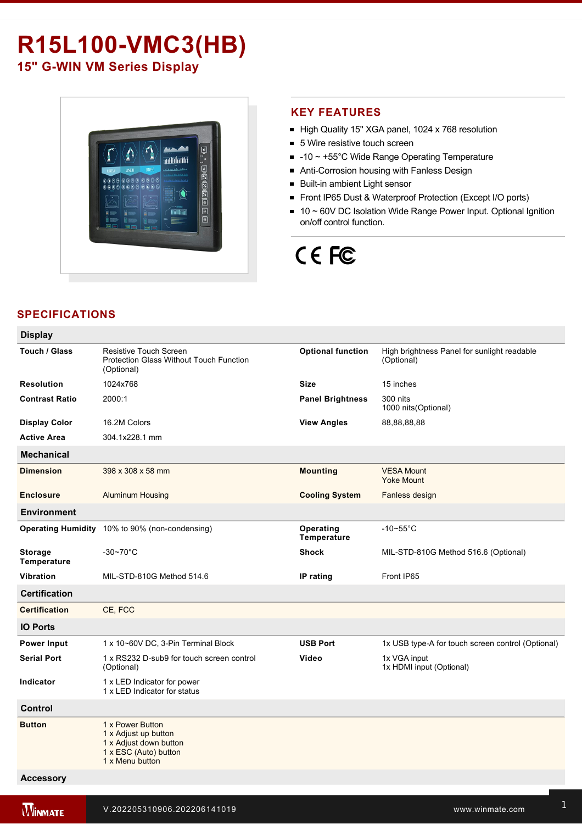# **R15L100-VMC3(HB)**

**15" G-WIN VM Series Display** 



# **KEY FEATURES**

- High Quality 15" XGA panel, 1024 x 768 resolution
- 5 Wire resistive touch screen
- $-10 \sim +55^{\circ}$ C Wide Range Operating Temperature
- Anti-Corrosion housing with Fanless Design
- **Built-in ambient Light sensor**
- Front IP65 Dust & Waterproof Protection (Except I/O ports)
- 10 ~ 60V DC Isolation Wide Range Power Input. Optional Ignition on/off control function.

# CE FC

# **SPECIFICATIONS**

| <b>Display</b>                |                                                                                                                |                          |                                                           |
|-------------------------------|----------------------------------------------------------------------------------------------------------------|--------------------------|-----------------------------------------------------------|
| Touch / Glass                 | Resistive Touch Screen<br><b>Protection Glass Without Touch Function</b><br>(Optional)                         | <b>Optional function</b> | High brightness Panel for sunlight readable<br>(Optional) |
| <b>Resolution</b>             | 1024x768                                                                                                       | <b>Size</b>              | 15 inches                                                 |
| <b>Contrast Ratio</b>         | 2000:1                                                                                                         | <b>Panel Brightness</b>  | 300 nits<br>1000 nits (Optional)                          |
| <b>Display Color</b>          | 16.2M Colors                                                                                                   | <b>View Angles</b>       | 88,88,88,88                                               |
| <b>Active Area</b>            | 304.1x228.1 mm                                                                                                 |                          |                                                           |
| <b>Mechanical</b>             |                                                                                                                |                          |                                                           |
| <b>Dimension</b>              | 398 x 308 x 58 mm                                                                                              | <b>Mounting</b>          | <b>VESA Mount</b><br><b>Yoke Mount</b>                    |
| <b>Enclosure</b>              | <b>Aluminum Housing</b>                                                                                        | <b>Cooling System</b>    | Fanless design                                            |
| <b>Environment</b>            |                                                                                                                |                          |                                                           |
|                               | Operating Humidity 10% to 90% (non-condensing)                                                                 | Operating<br>Temperature | $-10\nthicksim55^{\circ}C$                                |
| <b>Storage</b><br>Temperature | $-30 - 70^{\circ}$ C                                                                                           | <b>Shock</b>             | MIL-STD-810G Method 516.6 (Optional)                      |
| <b>Vibration</b>              | MIL-STD-810G Method 514.6                                                                                      | IP rating                | Front IP65                                                |
| <b>Certification</b>          |                                                                                                                |                          |                                                           |
| <b>Certification</b>          | CE, FCC                                                                                                        |                          |                                                           |
| <b>IO Ports</b>               |                                                                                                                |                          |                                                           |
| <b>Power Input</b>            | 1 x 10~60V DC, 3-Pin Terminal Block                                                                            | <b>USB Port</b>          | 1x USB type-A for touch screen control (Optional)         |
| <b>Serial Port</b>            | 1 x RS232 D-sub9 for touch screen control<br>(Optional)                                                        | Video                    | 1x VGA input<br>1x HDMI input (Optional)                  |
| Indicator                     | 1 x LED Indicator for power<br>1 x LED Indicator for status                                                    |                          |                                                           |
| <b>Control</b>                |                                                                                                                |                          |                                                           |
| <b>Button</b>                 | 1 x Power Button<br>1 x Adjust up button<br>1 x Adjust down button<br>1 x ESC (Auto) button<br>1 x Menu button |                          |                                                           |
| <b>Accessory</b>              |                                                                                                                |                          |                                                           |

<u>Vesa screws and the screws of</u>

External USB/COM cable for touchscreen control